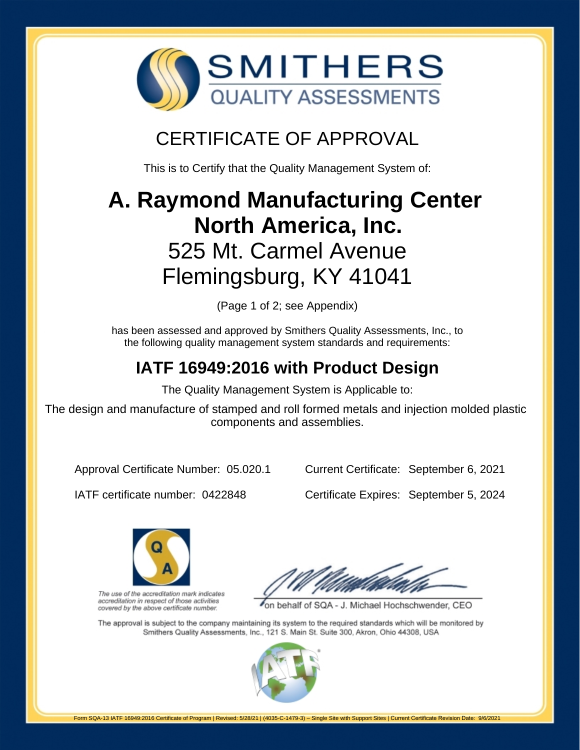

# CERTIFICATE OF APPROVAL

This is to Certify that the Quality Management System of:

# **A. Raymond Manufacturing Center North America, Inc.** 525 Mt. Carmel Avenue Flemingsburg, KY 41041

(Page 1 of 2; see Appendix)

has been assessed and approved by Smithers Quality Assessments, Inc., to the following quality management system standards and requirements:

# **IATF 16949:2016 with Product Design**

The Quality Management System is Applicable to:

The design and manufacture of stamped and roll formed metals and injection molded plastic components and assemblies.

Approval Certificate Number: 05.020.1

Current Certificate: September 6, 2021

IATF certificate number: 0422848

Certificate Expires: September 5, 2024



The use of the accreditation mark indicates accreditation in respect of those activities covered by the above certificate number.

on behalf of SQA - J. Michael Hochschwender, CEO

The approval is subject to the company maintaining its system to the required standards which will be monitored by Smithers Quality Assessments, Inc., 121 S. Main St. Suite 300, Akron, Ohio 44308, USA